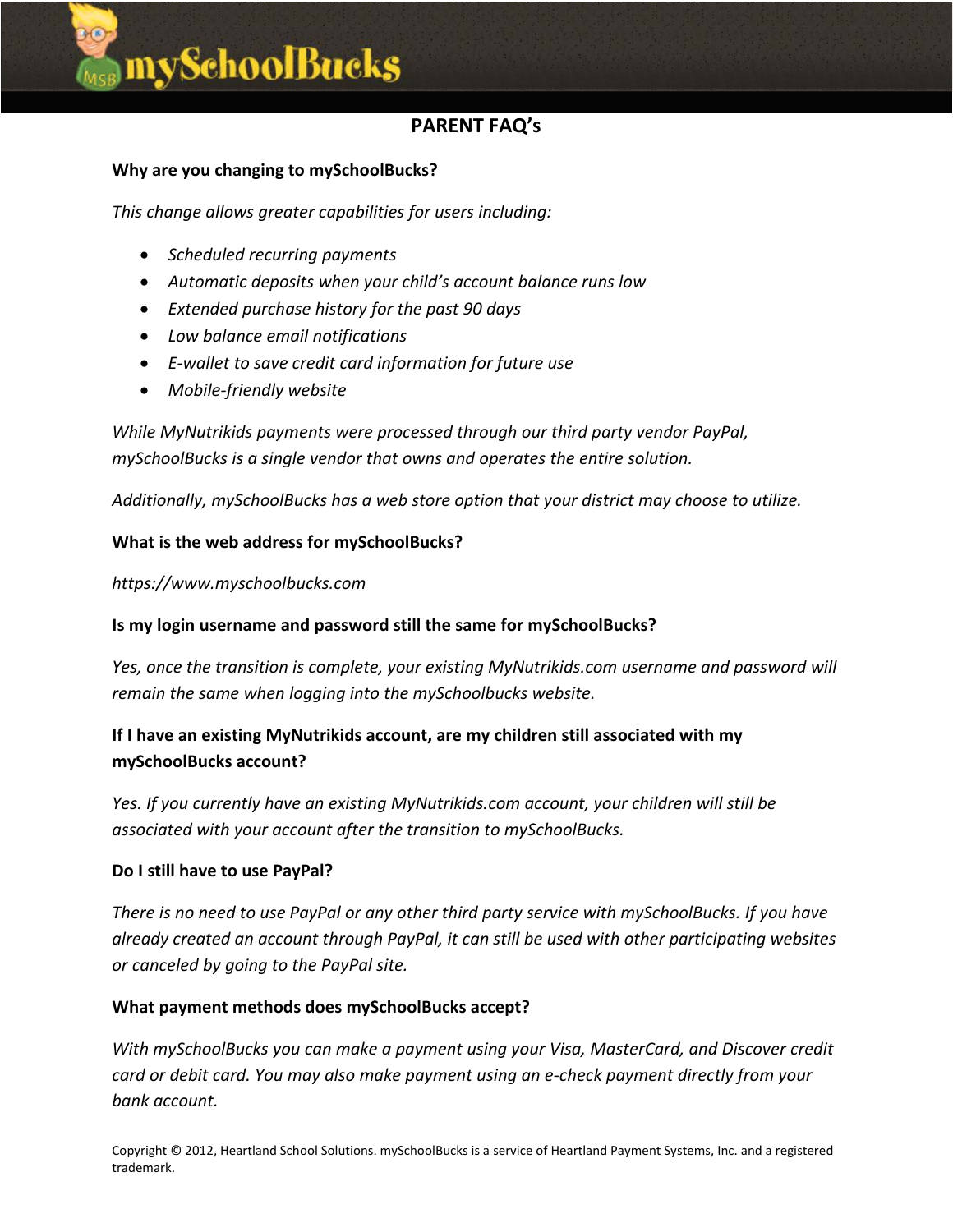# mySchoolBucks

## **PARENT FAQ's**

#### **Why are you changing to mySchoolBucks?**

*This change allows greater capabilities for users including:*

- *Scheduled recurring payments*
- *Automatic deposits when your child's account balance runs low*
- *Extended purchase history for the past 90 days*
- *Low balance email notifications*
- *E-wallet to save credit card information for future use*
- *Mobile-friendly website*

*While MyNutrikids payments were processed through our third party vendor PayPal, mySchoolBucks is a single vendor that owns and operates the entire solution.*

*Additionally, mySchoolBucks has a web store option that your district may choose to utilize.*

#### **What is the web address for mySchoolBucks?**

*https://www.myschoolbucks.com*

#### **Is my login username and password still the same for mySchoolBucks?**

*Yes, once the transition is complete, your existing MyNutrikids.com username and password will remain the same when logging into the mySchoolbucks website.*

### **If I have an existing MyNutrikids account, are my children still associated with my mySchoolBucks account?**

*Yes. If you currently have an existing MyNutrikids.com account, your children will still be associated with your account after the transition to mySchoolBucks.*

#### **Do I still have to use PayPal?**

*There is no need to use PayPal or any other third party service with mySchoolBucks. If you have already created an account through PayPal, it can still be used with other participating websites or canceled by going to the PayPal site.*

#### **What payment methods does mySchoolBucks accept?**

*With mySchoolBucks you can make a payment using your Visa, MasterCard, and Discover credit card or debit card. You may also make payment using an e-check payment directly from your bank account.*

Copyright © 2012, Heartland School Solutions. mySchoolBucks is a service of Heartland Payment Systems, Inc. and a registered trademark.